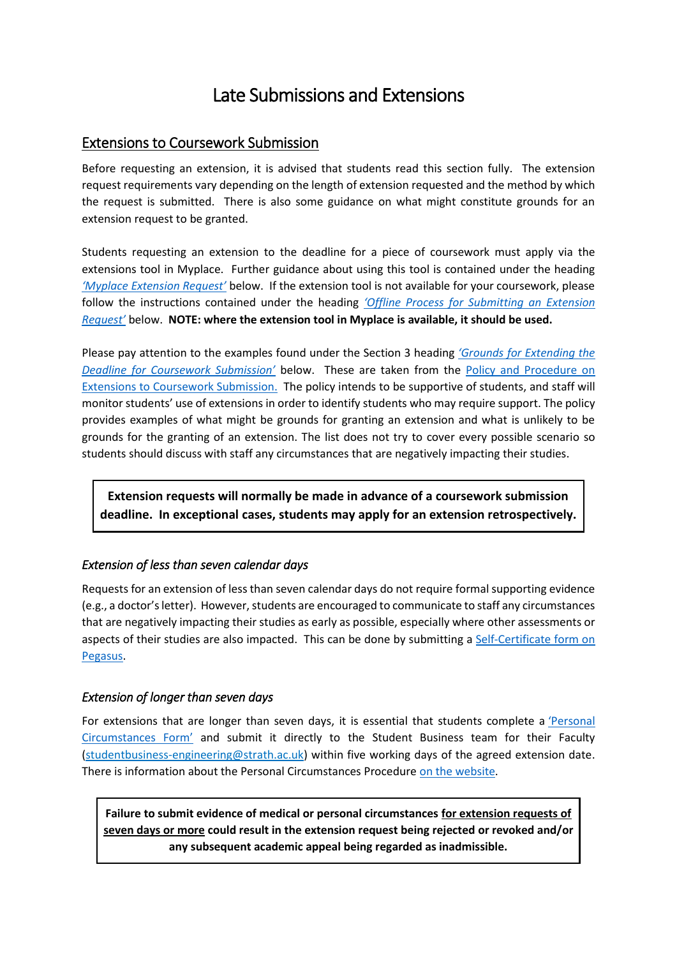# Late Submissions and Extensions

# <span id="page-0-0"></span>Extensions to Coursework Submission

Before requesting an extension, it is advised that students read this section fully. The extension request requirements vary depending on the length of extension requested and the method by which the request is submitted. There is also some guidance on what might constitute grounds for an extension request to be granted.

Students requesting an extension to the deadline for a piece of coursework must apply via the extensions tool in Myplace. Further guidance about using this tool is contained under the heading *['Myplace Extension Request'](#page-1-0)* below. If the extension tool is not available for your coursework, please follow the instructions contained under the heading *['Offline Process for Submitting an Extension](#page-2-0)  [Request'](#page-2-0)* below. **NOTE: where the extension tool in Myplace is available, it should be used.**

Please pay attention to the examples found under the Section 3 heading *['Grounds for Extending the](#page-1-1)  [Deadline for Coursework Submission'](#page-1-1)* below. These are taken from the [Policy and Procedure on](https://www.strath.ac.uk/sees/studentpolicies/policies/assessmentfeedbackandexternalexaminers/policyandproceduresonextensionstocourseworksubmission/)  [Extensions to Coursework Submission.](https://www.strath.ac.uk/sees/studentpolicies/policies/assessmentfeedbackandexternalexaminers/policyandproceduresonextensionstocourseworksubmission/) The policy intends to be supportive of students, and staff will monitor students' use of extensions in order to identify students who may require support. The policy provides examples of what might be grounds for granting an extension and what is unlikely to be grounds for the granting of an extension. The list does not try to cover every possible scenario so students should discuss with staff any circumstances that are negatively impacting their studies.

**Extension requests will normally be made in advance of a coursework submission deadline. In exceptional cases, students may apply for an extension retrospectively.**

# *Extension of less than seven calendar days*

Requests for an extension of less than seven calendar days do not require formal supporting evidence (e.g., a doctor's letter). However, students are encouraged to communicate to staff any circumstances that are negatively impacting their studies as early as possible, especially where other assessments or aspects of their studies are also impacted. This can be done by submitting a [Self-Certificate form on](https://ben.mis.strath.ac.uk/personalcircumstances/control/addSelfCertPage)  [Pegasus.](https://ben.mis.strath.ac.uk/personalcircumstances/control/addSelfCertPage)

# *Extension of longer than seven days*

For extensions that are longer than seven days, it is essential that students complete a ['Personal](https://www.strath.ac.uk/media/ps/cs/gmap/academicaffairs/policies/PersonalCircumstancesForm_Aug2013.pdf)  [Circumstances Form'](https://www.strath.ac.uk/media/ps/cs/gmap/academicaffairs/policies/PersonalCircumstancesForm_Aug2013.pdf) and submit it directly to the Student Business team for their Faculty [\(studentbusiness-engineering@strath.ac.uk\)](mailto:studentbusiness-engineering@strath.ac.uk) within five working days of the agreed extension date. There is information about the Personal Circumstances Procedure [on the website.](https://www.strath.ac.uk/sees/studentpolicies/policies/appealscomplaintsdiscipline/personalcircumstancesprocedure/)

**Failure to submit evidence of medical or personal circumstances for extension requests of seven days or more could result in the extension request being rejected or revoked and/or any subsequent academic appeal being regarded as inadmissible.**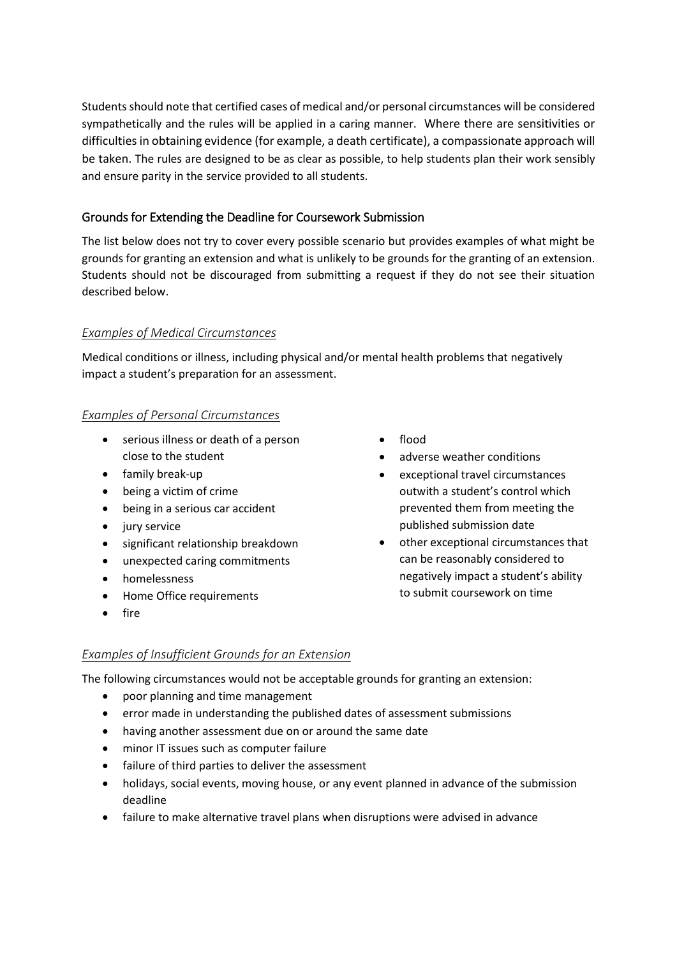Students should note that certified cases of medical and/or personal circumstances will be considered sympathetically and the rules will be applied in a caring manner. Where there are sensitivities or difficulties in obtaining evidence (for example, a death certificate), a compassionate approach will be taken. The rules are designed to be as clear as possible, to help students plan their work sensibly and ensure parity in the service provided to all students.

### <span id="page-1-1"></span><span id="page-1-0"></span>Grounds for Extending the Deadline for Coursework Submission

The list below does not try to cover every possible scenario but provides examples of what might be grounds for granting an extension and what is unlikely to be grounds for the granting of an extension. Students should not be discouraged from submitting a request if they do not see their situation described below.

#### *Examples of Medical Circumstances*

Medical conditions or illness, including physical and/or mental health problems that negatively impact a student's preparation for an assessment.

#### *Examples of Personal Circumstances*

- serious illness or death of a person close to the student
- family break-up
- being a victim of crime
- being in a serious car accident
- jury service
- significant relationship breakdown
- unexpected caring commitments
- homelessness
- Home Office requirements
- fire
- flood
- adverse weather conditions
- exceptional travel circumstances outwith a student's control which prevented them from meeting the published submission date
- other exceptional circumstances that can be reasonably considered to negatively impact a student's ability to submit coursework on time

# *Examples of Insufficient Grounds for an Extension*

The following circumstances would not be acceptable grounds for granting an extension:

- poor planning and time management
- error made in understanding the published dates of assessment submissions
- having another assessment due on or around the same date
- minor IT issues such as computer failure
- failure of third parties to deliver the assessment
- holidays, social events, moving house, or any event planned in advance of the submission deadline
- failure to make alternative travel plans when disruptions were advised in advance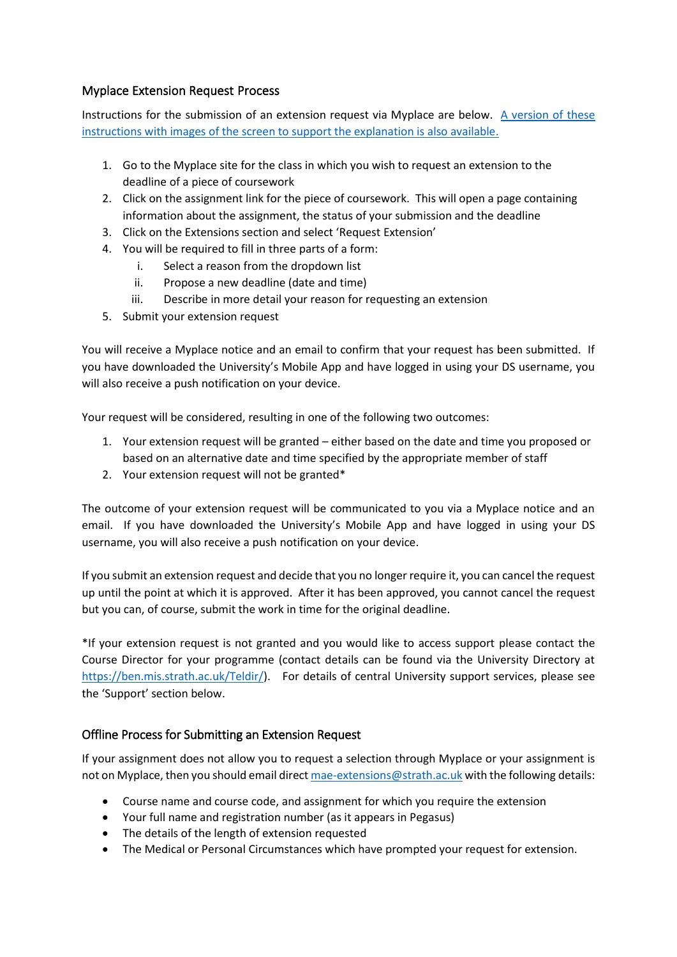# Myplace Extension Request Process

Instructions for the submission of an extension request via Myplace are below. [A version of these](https://wiki.lte.strath.ac.uk/display/MS/Extension+Requests+in+Myplace)  [instructions with images of the screen to support the explanation is also available.](https://wiki.lte.strath.ac.uk/display/MS/Extension+Requests+in+Myplace)

- 1. Go to the Myplace site for the class in which you wish to request an extension to the deadline of a piece of coursework
- 2. Click on the assignment link for the piece of coursework. This will open a page containing information about the assignment, the status of your submission and the deadline
- 3. Click on the Extensions section and select 'Request Extension'
- 4. You will be required to fill in three parts of a form:
	- i. Select a reason from the dropdown list
	- ii. Propose a new deadline (date and time)
	- iii. Describe in more detail your reason for requesting an extension
- 5. Submit your extension request

You will receive a Myplace notice and an email to confirm that your request has been submitted. If you have downloaded the University's Mobile App and have logged in using your DS username, you will also receive a push notification on your device.

Your request will be considered, resulting in one of the following two outcomes:

- 1. Your extension request will be granted either based on the date and time you proposed or based on an alternative date and time specified by the appropriate member of staff
- 2. Your extension request will not be granted\*

The outcome of your extension request will be communicated to you via a Myplace notice and an email. If you have downloaded the University's Mobile App and have logged in using your DS username, you will also receive a push notification on your device.

If you submit an extension request and decide that you no longer require it, you can cancel the request up until the point at which it is approved. After it has been approved, you cannot cancel the request but you can, of course, submit the work in time for the original deadline.

\*If your extension request is not granted and you would like to access support please contact the Course Director for your programme (contact details can be found via the University Directory at [https://ben.mis.strath.ac.uk/Teldir/\)](https://ben.mis.strath.ac.uk/Teldir/). For details of central University support services, please see the 'Support' section below.

#### <span id="page-2-0"></span>Offline Process for Submitting an Extension Request

If your assignment does not allow you to request a selection through Myplace or your assignment is not on Myplace, then you should email direc[t mae-extensions@strath.ac.uk](mailto:mae-extensions@strath.ac.uk) with the following details:

- Course name and course code, and assignment for which you require the extension
- Your full name and registration number (as it appears in Pegasus)
- The details of the length of extension requested
- The Medical or Personal Circumstances which have prompted your request for extension.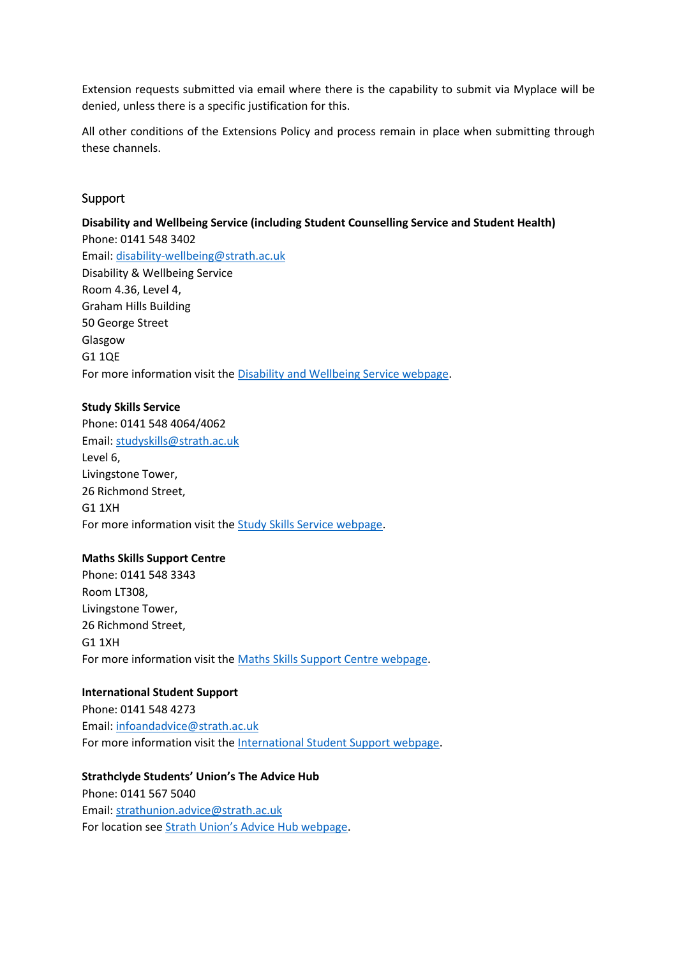Extension requests submitted via email where there is the capability to submit via Myplace will be denied, unless there is a specific justification for this.

All other conditions of the Extensions Policy and process remain in place when submitting through these channels.

#### Support

#### **Disability and Wellbeing Service (including Student Counselling Service and Student Health)**

Phone: 0141 548 3402 Email: [disability-wellbeing@strath.ac.uk](mailto:disability-wellbeing@strath.ac.uk) Disability & Wellbeing Service Room 4.36, Level 4, Graham Hills Building 50 George Street Glasgow G1 1QE For more information visit the [Disability and Wellbeing Service webpage.](https://www.strath.ac.uk/professionalservices/disabilityandwellbeing/)

#### **Study Skills Service**

Phone: 0141 548 4064/4062 Email: [studyskills@strath.ac.uk](mailto:studyskills@strath.ac.uk) Level 6, Livingstone Tower, 26 Richmond Street, G1 1XH For more information visit the [Study Skills Service webpage.](https://www.strath.ac.uk/studyskills/)

#### **Maths Skills Support Centre**

Phone: 0141 548 3343 Room LT308, Livingstone Tower, 26 Richmond Street, G1 1XH For more information visit the [Maths Skills Support Centre webpage.](https://www.strath.ac.uk/studywithus/strathlife/academicsupport/mathsskillssupportcentre/)

#### **International Student Support**

Phone: 0141 548 4273 Email: [infoandadvice@strath.ac.uk](mailto:infoandadvice@strath.ac.uk) For more information visit the [International Student Support webpage.](https://www.strath.ac.uk/studywithus/internationalstudents/whileyourehere/internationalstudentsupportteam/)

#### **Strathclyde Students' Union's The Advice Hub**

Phone: 0141 567 5040 Email: [strathunion.advice@strath.ac.uk](mailto:strathunion.advice@strath.ac.uk) For location see Strath [Union's Advice Hub webpage](https://www.strathunion.com/advice/).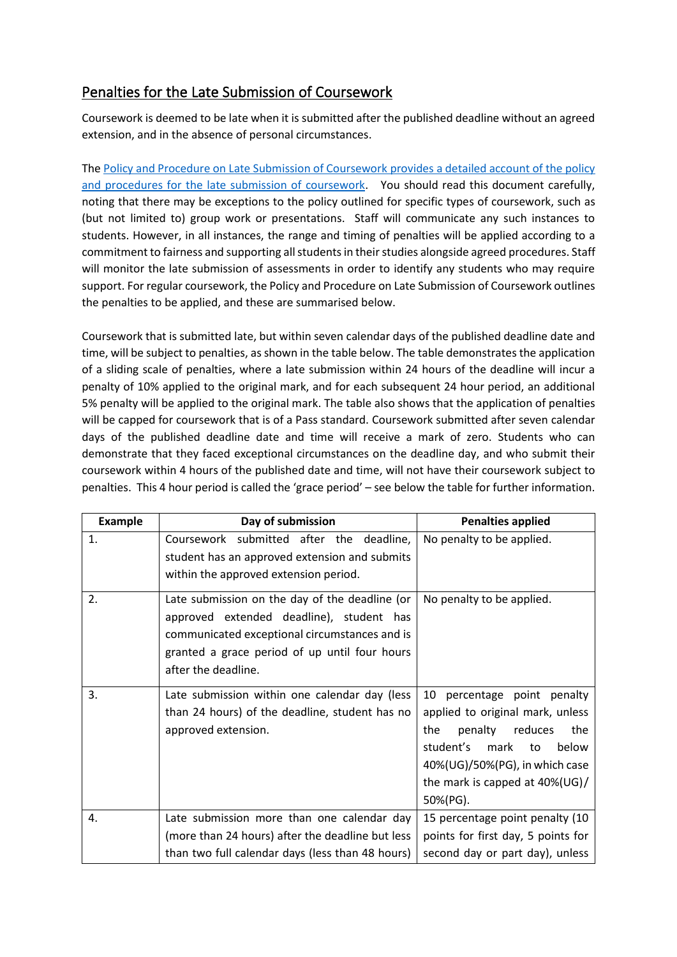# Penalties for the Late Submission of Coursework

Coursework is deemed to be late when it is submitted after the published deadline without an agreed extension, and in the absence of personal circumstances.

The [Policy and Procedure on Late Submission of Coursework](https://www.strath.ac.uk/sees/studentpolicies/policies/assessmentfeedbackandexternalexaminers/policyandprocedureforlatesubmissionofcoursework/) provides a detailed account of the policy and procedures for the late submission of coursework. You should read this document carefully, noting that there may be exceptions to the policy outlined for specific types of coursework, such as (but not limited to) group work or presentations. Staff will communicate any such instances to students. However, in all instances, the range and timing of penalties will be applied according to a commitment to fairness and supporting all students in their studies alongside agreed procedures. Staff will monitor the late submission of assessments in order to identify any students who may require support. For regular coursework, the Policy and Procedure on Late Submission of Coursework outlines the penalties to be applied, and these are summarised below.

Coursework that is submitted late, but within seven calendar days of the published deadline date and time, will be subject to penalties, as shown in the table below. The table demonstrates the application of a sliding scale of penalties, where a late submission within 24 hours of the deadline will incur a penalty of 10% applied to the original mark, and for each subsequent 24 hour period, an additional 5% penalty will be applied to the original mark. The table also shows that the application of penalties will be capped for coursework that is of a Pass standard. Coursework submitted after seven calendar days of the published deadline date and time will receive a mark of zero. Students who can demonstrate that they faced exceptional circumstances on the deadline day, and who submit their coursework within 4 hours of the published date and time, will not have their coursework subject to penalties. This 4 hour period is called the 'grace period' – see below the table for further information.

| <b>Example</b> | Day of submission                                                                                                                                                                                                   | <b>Penalties applied</b>                                                                                                                                                                                                 |
|----------------|---------------------------------------------------------------------------------------------------------------------------------------------------------------------------------------------------------------------|--------------------------------------------------------------------------------------------------------------------------------------------------------------------------------------------------------------------------|
| 1.             | Coursework submitted after the deadline,<br>student has an approved extension and submits<br>within the approved extension period.                                                                                  | No penalty to be applied.                                                                                                                                                                                                |
| 2.             | Late submission on the day of the deadline (or<br>approved extended deadline), student has<br>communicated exceptional circumstances and is<br>granted a grace period of up until four hours<br>after the deadline. | No penalty to be applied.                                                                                                                                                                                                |
| 3.             | Late submission within one calendar day (less<br>than 24 hours) of the deadline, student has no<br>approved extension.                                                                                              | 10 percentage point penalty<br>applied to original mark, unless<br>penalty reduces<br>the<br>the<br>student's<br>mark<br>below<br>to<br>40%(UG)/50%(PG), in which case<br>the mark is capped at $40\%$ (UG)/<br>50%(PG). |
| 4.             | Late submission more than one calendar day                                                                                                                                                                          | 15 percentage point penalty (10                                                                                                                                                                                          |
|                | (more than 24 hours) after the deadline but less<br>than two full calendar days (less than 48 hours)                                                                                                                | points for first day, 5 points for<br>second day or part day), unless                                                                                                                                                    |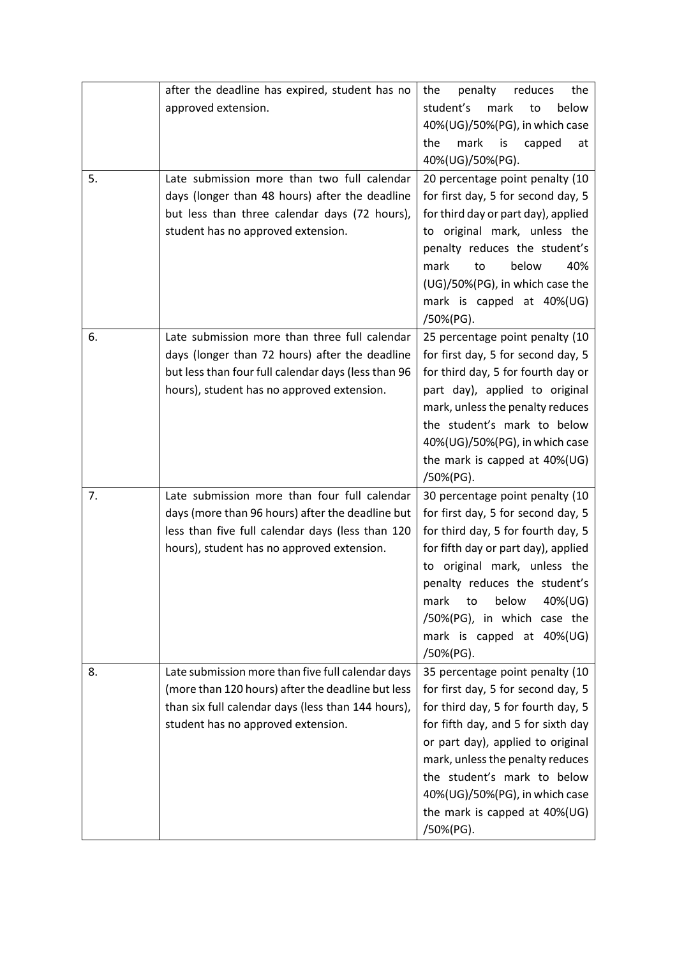|    | after the deadline has expired, student has no      | penalty<br>reduces<br>the<br>the                                      |
|----|-----------------------------------------------------|-----------------------------------------------------------------------|
|    | approved extension.                                 | student's<br>mark<br>to<br>below                                      |
|    |                                                     | 40%(UG)/50%(PG), in which case                                        |
|    |                                                     | the<br>mark<br>is<br>capped<br>at                                     |
|    |                                                     | 40%(UG)/50%(PG).                                                      |
| 5. | Late submission more than two full calendar         | 20 percentage point penalty (10                                       |
|    | days (longer than 48 hours) after the deadline      | for first day, 5 for second day, 5                                    |
|    | but less than three calendar days (72 hours),       | for third day or part day), applied                                   |
|    | student has no approved extension.                  | to original mark, unless the                                          |
|    |                                                     | penalty reduces the student's                                         |
|    |                                                     | mark<br>below<br>40%<br>to                                            |
|    |                                                     | (UG)/50%(PG), in which case the                                       |
|    |                                                     | mark is capped at 40%(UG)                                             |
|    |                                                     | /50%(PG).                                                             |
| 6. | Late submission more than three full calendar       | 25 percentage point penalty (10                                       |
|    | days (longer than 72 hours) after the deadline      | for first day, 5 for second day, 5                                    |
|    | but less than four full calendar days (less than 96 | for third day, 5 for fourth day or                                    |
|    | hours), student has no approved extension.          | part day), applied to original                                        |
|    |                                                     | mark, unless the penalty reduces                                      |
|    |                                                     | the student's mark to below                                           |
|    |                                                     | 40%(UG)/50%(PG), in which case                                        |
|    |                                                     | the mark is capped at 40%(UG)                                         |
| 7. | Late submission more than four full calendar        | /50%(PG).                                                             |
|    | days (more than 96 hours) after the deadline but    | 30 percentage point penalty (10<br>for first day, 5 for second day, 5 |
|    | less than five full calendar days (less than 120    | for third day, 5 for fourth day, 5                                    |
|    | hours), student has no approved extension.          | for fifth day or part day), applied                                   |
|    |                                                     | original mark, unless the<br>to                                       |
|    |                                                     | penalty reduces the student's                                         |
|    |                                                     | below<br>40%(UG)<br>mark<br>to                                        |
|    |                                                     | /50%(PG), in which case the                                           |
|    |                                                     | mark is capped at 40%(UG)                                             |
|    |                                                     | /50%(PG).                                                             |
| 8. | Late submission more than five full calendar days   | 35 percentage point penalty (10                                       |
|    | (more than 120 hours) after the deadline but less   | for first day, 5 for second day, 5                                    |
|    | than six full calendar days (less than 144 hours),  | for third day, 5 for fourth day, 5                                    |
|    | student has no approved extension.                  | for fifth day, and 5 for sixth day                                    |
|    |                                                     | or part day), applied to original                                     |
|    |                                                     | mark, unless the penalty reduces                                      |
|    |                                                     | the student's mark to below                                           |
|    |                                                     | 40%(UG)/50%(PG), in which case                                        |
|    |                                                     | the mark is capped at 40%(UG)                                         |
|    |                                                     | /50%(PG).                                                             |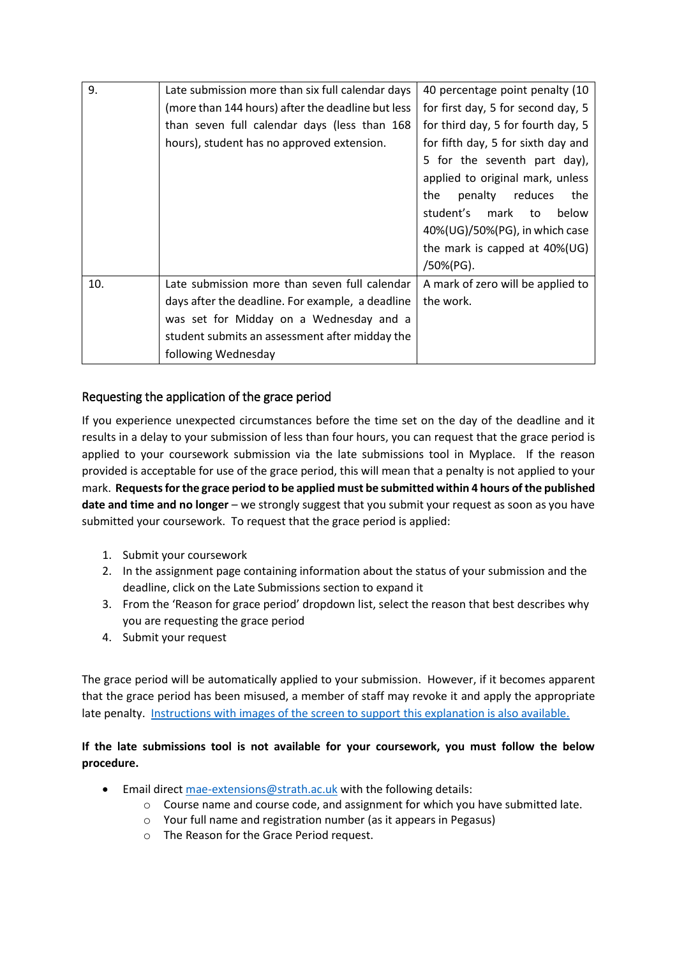| 9.  | Late submission more than six full calendar days  | 40 percentage point penalty (10    |
|-----|---------------------------------------------------|------------------------------------|
|     | (more than 144 hours) after the deadline but less | for first day, 5 for second day, 5 |
|     | than seven full calendar days (less than 168      | for third day, 5 for fourth day, 5 |
|     | hours), student has no approved extension.        | for fifth day, 5 for sixth day and |
|     |                                                   | 5 for the seventh part day),       |
|     |                                                   | applied to original mark, unless   |
|     |                                                   | penalty reduces<br>the<br>the      |
|     |                                                   | student's mark to<br>below         |
|     |                                                   | 40%(UG)/50%(PG), in which case     |
|     |                                                   | the mark is capped at 40%(UG)      |
|     |                                                   | /50%(PG).                          |
| 10. | Late submission more than seven full calendar     | A mark of zero will be applied to  |
|     | days after the deadline. For example, a deadline  | the work.                          |
|     | was set for Midday on a Wednesday and a           |                                    |
|     | student submits an assessment after midday the    |                                    |
|     | following Wednesday                               |                                    |

# Requesting the application of the grace period

If you experience unexpected circumstances before the time set on the day of the deadline and it results in a delay to your submission of less than four hours, you can request that the grace period is applied to your coursework submission via the late submissions tool in Myplace. If the reason provided is acceptable for use of the grace period, this will mean that a penalty is not applied to your mark. **Requests for the grace period to be applied must be submitted within 4 hours of the published date and time and no longer** – we strongly suggest that you submit your request as soon as you have submitted your coursework. To request that the grace period is applied:

- 1. Submit your coursework
- 2. In the assignment page containing information about the status of your submission and the deadline, click on the Late Submissions section to expand it
- 3. From the 'Reason for grace period' dropdown list, select the reason that best describes why you are requesting the grace period
- 4. Submit your request

The grace period will be automatically applied to your submission. However, if it becomes apparent that the grace period has been misused, a member of staff may revoke it and apply the appropriate late penalty. [Instructions with images of the screen to support this explanation is also available.](https://wiki.lte.strath.ac.uk/display/MS/Late+Submissions+in+Myplace)

#### **If the late submissions tool is not available for your coursework, you must follow the below procedure.**

- Email direct [mae-extensions@strath.ac.uk](mailto:mae-extensions@strath.ac.uk) with the following details:
	- o Course name and course code, and assignment for which you have submitted late.
	- o Your full name and registration number (as it appears in Pegasus)
	- o The Reason for the Grace Period request.